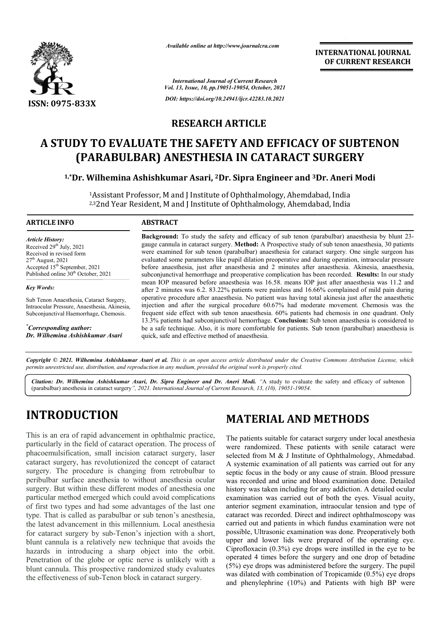

*Available online at http://www.journalcra.com*

**INTERNATIONAL JOURNAL OF CURRENT RESEARCH**

*International Journal of Current Research Vol. 13, Issue, 10, pp.19051-19054, October, 2021 DOI: https://doi.org/10.24941/ijcr.42283.10.2021*

### **RESEARCH ARTICLE**

# **A STUDY TO EVALUATE THE SAFETY AND EFFICACY OF SUBTENON (PARABULBAR) ANESTHESIA IN CATARACT SURGERY**

<sup>1,</sup>\*Dr. Wilhemina Ashishkumar Asari, <sup>2</sup>Dr. Sipra Engineer and <sup>3</sup>Dr. Aneri Modi

<sup>1</sup>Assistant Professor, M and J Institute of Ophthalmology, Ahemdabad, India <sup>2,3</sup>2nd Year Resident, M and J Institute of Ophthalmology, Ahemdabad, India

#### **ARTICLE INFO ABSTRACT**

*Article History: Article History:* Received  $29<sup>th</sup>$  July,  $2021$ Received in revised form Received in revised form Received in revised form  $27<sup>th</sup>$  August, 2021 Accepted 15<sup>th</sup> September, 2021 Published online 30<sup>th</sup> October, 2021

*Key Words:*

Sub Tenon Anaesthesia, Cataract Surgery, Intraocular Pressure, Anaesthesia, Akinesia, Subconjunctival Haemorrhage, Chemosis.

*\* Corresponding author: Dr. Wilhemina Ashishkumar Asari*

Background: To study the safety and efficacy of sub tenon (parabulbar) anaesthesia by blunt 23gauge cannula in cataract surgery. **Method:** A Prospective study of sub tenon anaesthesia, 30 patients were examined for sub tenon (parabulbar) anaesthesia for cataract surgery. One single surgeon has gauge cannula in cataract surgery. **Method:** A Prospective study of sub tenon anaesthesia, 30 patients were examined for sub tenon (parabulbar) anaesthesia for cataract surgery. One single surgeon has evaluated some parame before anaesthesia, just after anaesthesia and 2 minutes after anaesthesia. Akinesia, anaesthesia, before anaesthesia, just after anaesthesia and 2 minutes after anaesthesia. Akinesia, anaesthesia, subconjunctival hemorrhage and preoperative complication has been recorded. **Results:** In our study mean IOP measured before anaesthesia was 16.58. means I IOP just after anaesthesia was 11.2 and after 2 minutes was 6.2. 83.22% patients were painless and 16.66% complained of mild pain during operative procedure after anaesthesia. No patient was having total akinesia just after the anaesthetic injection and after the surgical procedure 60.67% had moderate movement. Chemosis was the frequent side effect with sub tenon anaesthesia. 60% patients had chemosis in one quadrant. Only 13.3% patients had subconjunctival hemorrhage. **Conclusion:** Sub tenon anaesthesia is co be a safe technique. Also, it is more comfortable for patients. Sub tenon (parabulbar) anaesthesia is quick, safe and effective method of anaesthesia. mean IOP measured before anaesthesia was 16.58. means IOP just after anaesthesia was 11.2 and after 2 minutes was 6.2. 83.22% patients were painless and 16.66% complained of mild pain during operative procedure after anaes

Copyright © 2021. Wilhemina Ashishkumar Asari et al. This is an open access article distributed under the Creative Commons Attribution License, which permits unrestricted use, distribution, and reproduction in any medium, provided the original work is properly cited.

*Citation: Dr. Wilhemina Ashishkumar Asari, Dr. Sipra Engineer and Dr. Aneri Modi. "*A study to evaluate the safety and efficacy of subtenon (parabulbar) anesthesia in cataract surgery*", 2021. International Journal of Current Research, 13, (10), 19051-19054.*

# **INTRODUCTION**

This is an era of rapid advancement in ophthalmic practice, particularly in the field of cataract operation. The process of phacoemulsification, small incision cataract surgery, laser cataract surgery, has revolutionized the concept of cataract surgery. The procedure is changing from retrobulbar to peribulbar surface anesthesia to without anesthesia ocular surgery. But within these different modes of anesthesia one particular method emerged which could avoid complications of first two types and had some advantages of the last one type. That is called as parabulbar or sub tenon's anesthesia, the latest advancement in this millennium. Local anesthesia for cataract surgery by sub-Tenon's injection with a short, blunt cannula is a relatively new technique that avoids the hazards in introducing a sharp object into the orbit. Penetration of the globe or optic nerve is unlikely with a blunt cannula. This prospective randomized study evaluates the effectiveness of sub-Tenon block in cataract surgery. e procedure is changing from retrobulbar to urface anesthesia to without anesthesia ocular in within these different modes of anesthesia one ethod emerged which could avoid complications types and had some advantages of th

## **MATERIAL AND METHODS**

**MATERIAL AND METHODS**<br>
MATERIAL AND METHODS<br>
In particular of process of<br>
for cataract operation. The process of<br>
were randomized. These patients with senile<br>
selected from M & J Institute of Ophthalmolog<br>
volutionized t The patients suitable for cataract surgery under local anesthesia were randomized. These patients with senile cataract were The patients suitable for cataract surgery under local anesthesia<br>were randomized. These patients with senile cataract were<br>selected from M & J Institute of Ophthalmology, Ahmedabad. A systemic examination of all patients was carried out for any septic focus in the body or any cause of strain. Blood pressure was recorded and urine and blood examination done. Detailed A systemic examination of all patients was carried out for any septic focus in the body or any cause of strain. Blood pressure was recorded and urine and blood examination done. Detailed history was taken including for any examination was carried out of both the eyes. Visual acuity, anterior segment examination, intraocular tension and type of cataract was recorded. Direct and indirect ophthalmoscopy was carried out and patients in which fundus examination were not possible, Ultrasonic examination was done. Preoperatively both upper and lower lids were prepared of the operating eye. Ciprofloxacin (0.3%) eye drops were instilled in the eye to be operated 4 times before the surgery and one drop of betadine (5%) eye drops was administered before the surgery. The pupil was dilated with combination of Tropicamide (0.5%) eye drops and phenylephrine (10%) and Patients with high BP were **EXERCIS (SEE ALT AND METHODS**<br>
CITE (1.3%) or extracted of the cyse of the cyse of the cyse of ps The with the with the with the with the with the method of the method of the method of the method of the method of product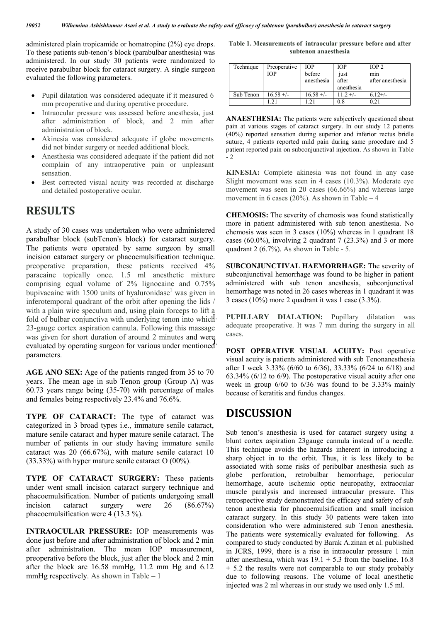administered plain tropicamide or homatropine (2%) eye drops. To these patients sub-tenon's block (parabulbar anesthesia) was administered. In our study 30 patients were randomized to receive parabulbar block for cataract surgery. A single surgeon evaluated the following parameters.

- Pupil dilatation was considered adequate if it measured 6 mm preoperative and during operative procedure.
- Intraocular pressure was assessed before anesthesia, just after administration of block, and 2 min after administration of block.
- Akinesia was considered adequate if globe movements did not binder surgery or needed additional block.
- Anesthesia was considered adequate if the patient did not complain of any intraoperative pain or unpleasant sensation.
- Best corrected visual acuity was recorded at discharge and detailed postoperative ocular.

### **RESULTS**

A study of 30 cases was undertaken who were administered parabulbar block (subTenon's block) for cataract surgery. The patients were operated by same surgeon by small incision cataract surgery or phacoemulsification technique. preoperative preparation, these patients received 4% paracaine topically once. 1.5 ml anesthetic mixture comprising equal volume of 2% lignocaine and 0.75% bupivacaine with  $1500$  units of hyaluronidase<sup>1</sup> was given in inferotemporal quadrant of the orbit after opening the lids / with a plain wire speculum and, using plain forceps to lift a fold of bulbar conjunctiva with underlying tenon into which 23-gauge cortex aspiration cannula. Following this massage was given for short duration of around 2 minutes and were was given for short director of around 2 immediately in weight parameters.

**AGE ANO SEX:** Age of the patients ranged from 35 to 70 years. The mean age in sub Tenon group (Group A) was 60.73 years range being (35-70) with percentage of males and females being respectively 23.4% and 76.6%.

**TYPE OF CATARACT:** The type of cataract was categorized in 3 broad types i.e., immature senile cataract, mature senile cataract and hyper mature senile cataract. The number of patients in our study having immature senile cataract was 20 (66.67%), with mature senile cataract 10 (33.33%) with hyper mature senile cataract O (00%).

**TYPE OF CATARACT SURGERY:** These patients under went small incision cataract surgery technique and phacoemulsification. Number of patients undergoing small incision cataract surgery were 26 (86.67%) phacoemulsification were 4 (13.3 %).

**INTRAOCULAR PRESSURE:** IOP measurements was done just before and after administration of block and 2 min after administration. The mean IOP measurement, preoperative before the block, just after the block and 2 min after the block are 16.58 mmHg, 11.2 mm Hg and 6.12 mmHg respectively. As shown in Table – 1

**Table 1. Measurements of intraocular pressure before and after subtenon anaesthesia**

| Technique | Preoperative<br><b>TOP</b> | <b>IOP</b><br>before<br>anesthesia | <b>TOP</b><br>just<br>after<br>anesthesia | IOP <sub>2</sub><br>m <sub>1</sub> n<br>after anesthesia |
|-----------|----------------------------|------------------------------------|-------------------------------------------|----------------------------------------------------------|
| Sub Tenon | $16.58 +/-$                | $16.58 +/-$                        | $11.2 +/-$                                | $6.12+/-$                                                |
|           |                            | $\mathcal{D}$                      | 0.8                                       | 0.21                                                     |

**ANAESTHESIA:** The patients were subjectively questioned about pain at various stages of cataract surgery. In our study 12 patients (40%) reported sensation during superior and inferior rectus bridle suture, 4 patients reported mild pain during same procedure and 5 patient reported pain on subconjunctival injection. As shown in Table  $-2$ 

**KINESIA:** Complete akinesia was not found in any case Slight movement was seen in 4 cases (10.3%). Moderate eye movement was seen in 20 cases (66.66%) and whereas large movement in 6 cases (20%). As shown in Table – 4

**CHEMOSIS:** The severity of chemosis was found statistically more in patient administered with sub tenon anesthesia. No chemosis was seen in 3 cases (10%) whereas in 1 quadrant 18 cases (60.0%), involving 2 quadrant 7 (23.3%) and 3 or more quadrant 2 (6.7%). As shown in Table - 5.

**SUBCONJUNCTIVAL HAEMORRHAGE:** The severity of subconjunctival hemorrhage was found to be higher in patient administered with sub tenon anesthesia, subconjunctival hemorrhage was noted in 26 cases whereas in 1 quadrant it was 3 cases (10%) more 2 quadrant it was 1 case (3.3%).

PUPILLARY DIALATION: Pupillary dilatation was adequate preoperative. It was 7 mm during the surgery in all cases.

**POST OPERATIVE VISUAL ACUITY:** Post operative visual acuity is patients administered with sub Tenonanesthesia after I week 3.33% (6/60 to 6/36), 33.33% (6/24 to 6/18) and 63.34% (6/12 to 6/9). The postoperative visual acuity after one week in group 6/60 to 6/36 was found to be 3.33% mainly because of keratitis and fundus changes.

#### **DISCUSSION**

Sub tenon's anesthesia is used for cataract surgery using a blunt cortex aspiration 23gauge cannula instead of a needle. This technique avoids the hazards inherent in introducing a sharp object in to the orbit. Thus, it is less likely to be associated with some risks of peribulbar anesthesia such as globe perforation, retrobulbar hemorrhage, periocular hemorrhage, acute ischemic optic neuropathy, extraocular muscle paralysis and increased intraocular pressure. This retrospective study demonstrated the efficacy and safety of sub tenon anesthesia for phacoemulsification and small incision cataract surgery. In this study 30 patients were taken into consideration who were administered sub Tenon anesthesia. The patients were systemically evaluated for following. As compared to study conducted by Barak A.zinan et al. published in JCRS, 1999, there is a rise in intraocular pressure 1 min after anesthesia, which was  $19.1 + 5.3$  from the baseline. 16.8 + 5.2 the results were not comparable to our study probably due to following reasons. The volume of local anesthetic injected was 2 ml whereas in our study we used only 1.5 ml.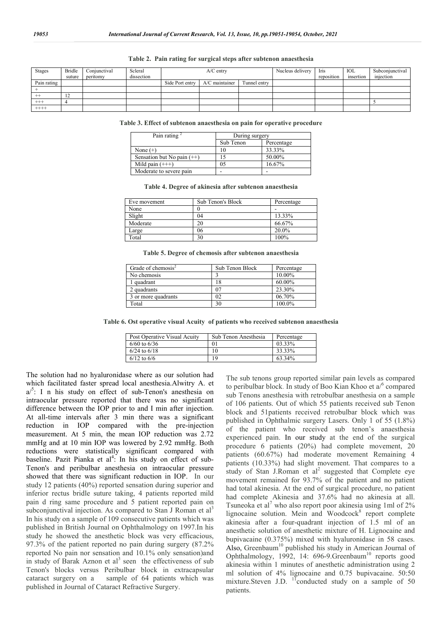| <b>Stages</b> | Bridle         | Conjunctival | Scleral    |                 | $A/C$ entry      |              | Nucleus delivery | Iris       | IOL       | Subconiunctival |
|---------------|----------------|--------------|------------|-----------------|------------------|--------------|------------------|------------|-----------|-----------------|
|               | suture         | peritomy     | dissection |                 |                  |              |                  | reposition | insertion | injection       |
| Pain rating   |                |              |            | Side Port entry | $A/C$ maintainer | Tunnel entrv |                  |            |           |                 |
|               |                |              |            |                 |                  |              |                  |            |           |                 |
| $^{++}$       | $\overline{1}$ |              |            |                 |                  |              |                  |            |           |                 |
| $^{+++}$      |                |              |            |                 |                  |              |                  |            |           |                 |
| $+++++$       |                |              |            |                 |                  |              |                  |            |           |                 |

#### **Table 2. Pain rating for surgical steps after subtenon anaesthesia**

**Table 3. Effect of subtenon anaesthesia on pain for operative procedure**

| Pain rating $2$              | During surgery |            |  |
|------------------------------|----------------|------------|--|
|                              | Sub Tenon      | Percentage |  |
| None $(+)$                   | 10             | 33.33%     |  |
| Sensation but No pain $(++)$ |                | 50.00%     |  |
| Mild pain $(++)$             | 05             | 16.67%     |  |
| Moderate to severe pain      |                |            |  |

| Table 4. Degree of akinesia after subtenon anaesthesia |  |  |  |
|--------------------------------------------------------|--|--|--|
|--------------------------------------------------------|--|--|--|

| Eve movement | Sub Tenon's Block | Percentage |
|--------------|-------------------|------------|
| None         |                   |            |
| Slight       | 04                | 13.33%     |
| Moderate     |                   | 66.67%     |
| Large        | 06                | 20.0%      |
| Total        | 30                | 100%       |
|              |                   |            |

**Table 5. Degree of chemosis after subtenon anaesthesia**

| Grade of chemosis <sup>2</sup> | Sub Tenon Block | Percentage |  |
|--------------------------------|-----------------|------------|--|
| No chemosis                    |                 | 10.00%     |  |
| 1 quadrant                     |                 | 60.00%     |  |
| 2 quadrants                    | 07              | 23.30%     |  |
| 3 or more quadrants            | 02              | 06.70%     |  |
| Total                          | 30              | 100.0%     |  |

**Table 6. Ost operative visual Acuity of patients who received subtenon anaesthesia**

| Post Operative Visual Acuity | Sub Tenon Anesthesia | Percentage |
|------------------------------|----------------------|------------|
| $6/60$ to $6/36$             |                      | 03.33%     |
| $6/24$ to $6/18$             |                      | 33.33%     |
| $6/12$ to $6/6$              | 19                   | 63.34%     |

The solution had no hyaluronidase where as our solution had which facilitated faster spread local anesthesia.Alwitry A. et  $a^{5}$ : I n his study on effect of sub-Tenon's anesthesia on intraocular pressure reported that there was no significant difference between the IOP prior to and I min after injection. At all-time intervals after 3 min there was a significant reduction in IOP compared with the pre-injection measurement. At 5 min, the mean IOP reduction was 2.72 mmHg and at 10 min IOP was lowered by 2.92 mmHg. Both reductions were statistically significant compared with baseline. Pazit Pianka et al<sup>4</sup>: In his study on effect of sub-Tenon's and peribulbar anesthesia on intraocular pressure showed that there was significant reduction in IOP. In our study 12 patients (40%) reported sensation during superior and inferior rectus bridle suture taking, 4 patients reported mild pain d ring same procedure and 5 patient reported pain on subconjunctival injection. As compared to Stan J Roman et  $al<sup>3</sup>$ In his study on a sample of 109 consecutive patients which was published in British Journal on Ophthalmology on 1997.In his study he showed the anesthetic block was very efficacious, 97.3% of the patient reported no pain during surgery (87.2% reported No pain nor sensation and 10.1% only sensation)and in study of Barak Aznon et  $al<sup>3</sup>$  seen the effectiveness of sub Tenon's blocks versus Peribulbar block in extracapsular cataract surgery on a sample of 64 patients which was published in Journal of Cataract Refractive Surgery.

The sub tenons group reported similar pain levels as compared to peribulbar block. In study of Boo Kian Khoo et  $a^{6}$  compared sub Tenons anesthesia with retrobulbar anesthesia on a sample of 106 patients. Out of which 55 patients received sub Tenon block and 51patients received retrobulbar block which was published in Ophthalmic surgery Lasers. Only 1 of 55 (1.8%) of the patient who received sub tenon's anaesthesia experienced pain. In our study at the end of the surgical procedure 6 patients (20%) had complete movement, 20 patients (60.67%) had moderate movement Remaining 4 patients (10.33%) had slight movement. That compares to a study of Stan J.Roman et  $al^2$  suggested that Complete eye movement remained for 93.7% of the patient and no patient had total akinesia. At the end of surgical procedure, no patient had complete Akinesia and 37.6% had no akinesia at all. Tsuneoka et al<sup>7</sup> who also report poor akinesia using 1ml of  $2\%$ lignocaine solution. Mein and Woodcock<sup>8</sup> report complete akinesia after a four-quadrant injection of 1.5 ml of an anesthetic solution of anesthetic mixture of H. Lignocaine and bupivacaine (0.375%) mixed with hyaluronidase in 58 cases. Also, Greenbaum<sup>10</sup> published his study in American Journal of Ophthalmology, 1992, 14: 696-9.Greenbaum<sup>10</sup> reports good akinesia within 1 minutes of anesthetic administration using 2 ml solution of 4% lignocaine and 0.75 bupivacaine. 50:50 mixture.Steven J.D.  $^{11}$ conducted study on a sample of 50 patients.